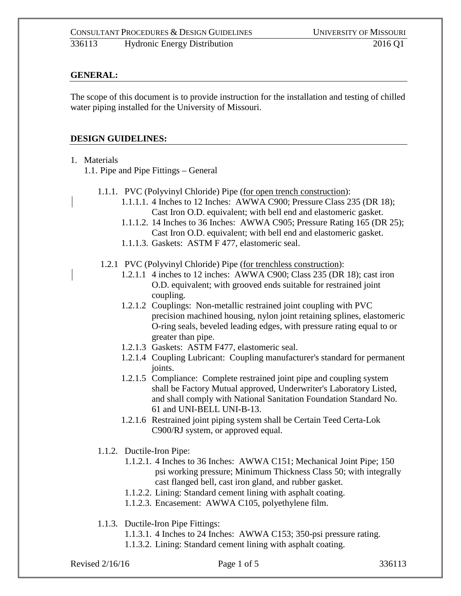## **GENERAL:**

The scope of this document is to provide instruction for the installation and testing of chilled water piping installed for the University of Missouri.

## **DESIGN GUIDELINES:**

1. Materials

1.1. Pipe and Pipe Fittings – General

- 1.1.1. PVC (Polyvinyl Chloride) Pipe (for open trench construction):
	- 1.1.1.1. 4 Inches to 12 Inches: AWWA C900; Pressure Class 235 (DR 18); Cast Iron O.D. equivalent; with bell end and elastomeric gasket.
	- 1.1.1.2. 14 Inches to 36 Inches: AWWA C905; Pressure Rating 165 (DR 25); Cast Iron O.D. equivalent; with bell end and elastomeric gasket.
	- 1.1.1.3. Gaskets: ASTM F 477, elastomeric seal.
- 1.2.1 PVC (Polyvinyl Chloride) Pipe (for trenchless construction):
	- 1.2.1.1 4 inches to 12 inches: AWWA C900; Class 235 (DR 18); cast iron O.D. equivalent; with grooved ends suitable for restrained joint coupling.
	- 1.2.1.2 Couplings: Non-metallic restrained joint coupling with PVC precision machined housing, nylon joint retaining splines, elastomeric O-ring seals, beveled leading edges, with pressure rating equal to or greater than pipe.
	- 1.2.1.3 Gaskets: ASTM F477, elastomeric seal.
	- 1.2.1.4 Coupling Lubricant: Coupling manufacturer's standard for permanent joints.
	- 1.2.1.5 Compliance: Complete restrained joint pipe and coupling system shall be Factory Mutual approved, Underwriter's Laboratory Listed, and shall comply with National Sanitation Foundation Standard No. 61 and UNI-BELL UNI-B-13.
	- 1.2.1.6 Restrained joint piping system shall be Certain Teed Certa-Lok C900/RJ system, or approved equal.
- 1.1.2. Ductile-Iron Pipe:
	- 1.1.2.1. 4 Inches to 36 Inches: AWWA C151; Mechanical Joint Pipe; 150 psi working pressure; Minimum Thickness Class 50; with integrally cast flanged bell, cast iron gland, and rubber gasket.
	- 1.1.2.2. Lining: Standard cement lining with asphalt coating.
	- 1.1.2.3. Encasement: AWWA C105, polyethylene film.
- 1.1.3. Ductile-Iron Pipe Fittings:
	- 1.1.3.1. 4 Inches to 24 Inches: AWWA C153; 350-psi pressure rating.
	- 1.1.3.2. Lining: Standard cement lining with asphalt coating.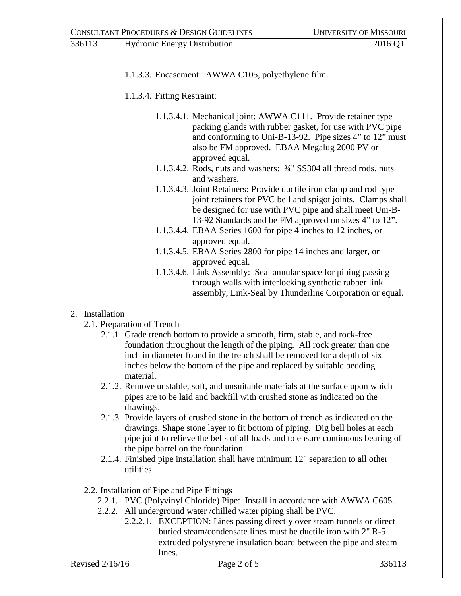1.1.3.3. Encasement: AWWA C105, polyethylene film.

1.1.3.4. Fitting Restraint:

- 1.1.3.4.1. Mechanical joint: AWWA C111. Provide retainer type packing glands with rubber gasket, for use with PVC pipe and conforming to Uni-B-13-92. Pipe sizes 4" to 12" must also be FM approved. EBAA Megalug 2000 PV or approved equal.
- 1.1.3.4.2. Rods, nuts and washers: ¾" SS304 all thread rods, nuts and washers.
- 1.1.3.4.3. Joint Retainers: Provide ductile iron clamp and rod type joint retainers for PVC bell and spigot joints. Clamps shall be designed for use with PVC pipe and shall meet Uni-B-13-92 Standards and be FM approved on sizes 4" to 12".
- 1.1.3.4.4. EBAA Series 1600 for pipe 4 inches to 12 inches, or approved equal.
- 1.1.3.4.5. EBAA Series 2800 for pipe 14 inches and larger, or approved equal.
- 1.1.3.4.6. Link Assembly: Seal annular space for piping passing through walls with interlocking synthetic rubber link assembly, Link-Seal by Thunderline Corporation or equal.

## 2. Installation

- 2.1. Preparation of Trench
	- 2.1.1. Grade trench bottom to provide a smooth, firm, stable, and rock-free foundation throughout the length of the piping. All rock greater than one inch in diameter found in the trench shall be removed for a depth of six inches below the bottom of the pipe and replaced by suitable bedding material.
	- 2.1.2. Remove unstable, soft, and unsuitable materials at the surface upon which pipes are to be laid and backfill with crushed stone as indicated on the drawings.
	- 2.1.3. Provide layers of crushed stone in the bottom of trench as indicated on the drawings. Shape stone layer to fit bottom of piping. Dig bell holes at each pipe joint to relieve the bells of all loads and to ensure continuous bearing of the pipe barrel on the foundation.
	- 2.1.4. Finished pipe installation shall have minimum 12" separation to all other utilities.
- 2.2. Installation of Pipe and Pipe Fittings
	- 2.2.1. PVC (Polyvinyl Chloride) Pipe: Install in accordance with AWWA C605.
	- 2.2.2. All underground water /chilled water piping shall be PVC.
		- 2.2.2.1. EXCEPTION: Lines passing directly over steam tunnels or direct buried steam/condensate lines must be ductile iron with 2" R-5 extruded polystyrene insulation board between the pipe and steam lines.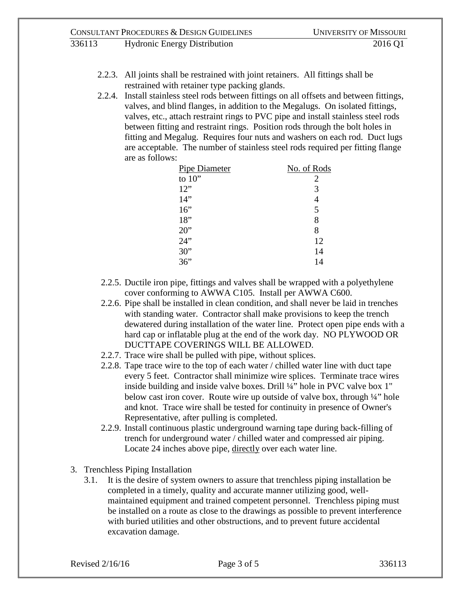- 2.2.3. All joints shall be restrained with joint retainers. All fittings shall be restrained with retainer type packing glands.
- 2.2.4. Install stainless steel rods between fittings on all offsets and between fittings, valves, and blind flanges, in addition to the Megalugs. On isolated fittings, valves, etc., attach restraint rings to PVC pipe and install stainless steel rods between fitting and restraint rings. Position rods through the bolt holes in fitting and Megalug. Requires four nuts and washers on each rod. Duct lugs are acceptable. The number of stainless steel rods required per fitting flange are as follows:

| <b>Pipe Diameter</b> | No. of Rods |
|----------------------|-------------|
| to $10"$             | 2           |
| 12"                  | 3           |
| 14"                  |             |
| 16"                  | 5           |
| 18"                  | 8           |
| 20"                  | 8           |
| 24"                  | 12          |
| 30"                  | 14          |
| 36"                  | 14          |

- 2.2.5. Ductile iron pipe, fittings and valves shall be wrapped with a polyethylene cover conforming to AWWA C105. Install per AWWA C600.
- 2.2.6. Pipe shall be installed in clean condition, and shall never be laid in trenches with standing water. Contractor shall make provisions to keep the trench dewatered during installation of the water line. Protect open pipe ends with a hard cap or inflatable plug at the end of the work day. NO PLYWOOD OR DUCTTAPE COVERINGS WILL BE ALLOWED.
- 2.2.7. Trace wire shall be pulled with pipe, without splices.
- 2.2.8. Tape trace wire to the top of each water / chilled water line with duct tape every 5 feet. Contractor shall minimize wire splices. Terminate trace wires inside building and inside valve boxes. Drill ¼" hole in PVC valve box 1" below cast iron cover. Route wire up outside of valve box, through ¼" hole and knot. Trace wire shall be tested for continuity in presence of Owner's Representative, after pulling is completed.
- 2.2.9. Install continuous plastic underground warning tape during back-filling of trench for underground water / chilled water and compressed air piping. Locate 24 inches above pipe, directly over each water line.
- 3. Trenchless Piping Installation
	- 3.1. It is the desire of system owners to assure that trenchless piping installation be completed in a timely, quality and accurate manner utilizing good, wellmaintained equipment and trained competent personnel. Trenchless piping must be installed on a route as close to the drawings as possible to prevent interference with buried utilities and other obstructions, and to prevent future accidental excavation damage.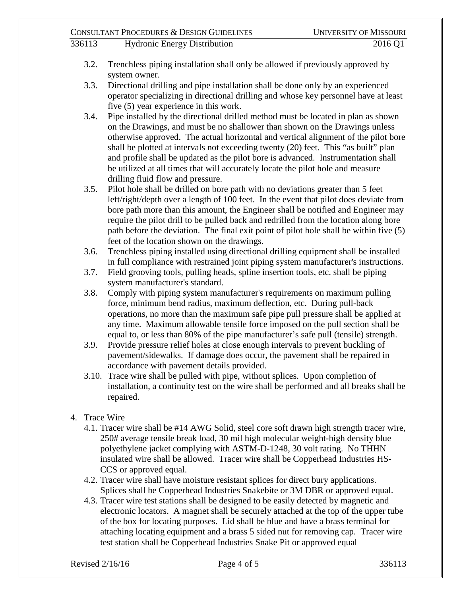- 336113 Hydronic Energy Distribution 2016 Q1
	- 3.2. Trenchless piping installation shall only be allowed if previously approved by system owner.
	- 3.3. Directional drilling and pipe installation shall be done only by an experienced operator specializing in directional drilling and whose key personnel have at least five (5) year experience in this work.
	- 3.4. Pipe installed by the directional drilled method must be located in plan as shown on the Drawings, and must be no shallower than shown on the Drawings unless otherwise approved. The actual horizontal and vertical alignment of the pilot bore shall be plotted at intervals not exceeding twenty (20) feet. This "as built" plan and profile shall be updated as the pilot bore is advanced. Instrumentation shall be utilized at all times that will accurately locate the pilot hole and measure drilling fluid flow and pressure.
	- 3.5. Pilot hole shall be drilled on bore path with no deviations greater than 5 feet left/right/depth over a length of 100 feet. In the event that pilot does deviate from bore path more than this amount, the Engineer shall be notified and Engineer may require the pilot drill to be pulled back and redrilled from the location along bore path before the deviation. The final exit point of pilot hole shall be within five (5) feet of the location shown on the drawings.
	- 3.6. Trenchless piping installed using directional drilling equipment shall be installed in full compliance with restrained joint piping system manufacturer's instructions.
	- 3.7. Field grooving tools, pulling heads, spline insertion tools, etc. shall be piping system manufacturer's standard.
	- 3.8. Comply with piping system manufacturer's requirements on maximum pulling force, minimum bend radius, maximum deflection, etc. During pull-back operations, no more than the maximum safe pipe pull pressure shall be applied at any time. Maximum allowable tensile force imposed on the pull section shall be equal to, or less than 80% of the pipe manufacturer's safe pull (tensile) strength.
	- 3.9. Provide pressure relief holes at close enough intervals to prevent buckling of pavement/sidewalks. If damage does occur, the pavement shall be repaired in accordance with pavement details provided.
	- 3.10. Trace wire shall be pulled with pipe, without splices. Upon completion of installation, a continuity test on the wire shall be performed and all breaks shall be repaired.
- 4. Trace Wire
	- 4.1. Tracer wire shall be #14 AWG Solid, steel core soft drawn high strength tracer wire, 250# average tensile break load, 30 mil high molecular weight-high density blue polyethylene jacket complying with ASTM-D-1248, 30 volt rating. No THHN insulated wire shall be allowed. Tracer wire shall be Copperhead Industries HS-CCS or approved equal.
	- 4.2. Tracer wire shall have moisture resistant splices for direct bury applications. Splices shall be Copperhead Industries Snakebite or 3M DBR or approved equal.
	- 4.3. Tracer wire test stations shall be designed to be easily detected by magnetic and electronic locators. A magnet shall be securely attached at the top of the upper tube of the box for locating purposes. Lid shall be blue and have a brass terminal for attaching locating equipment and a brass 5 sided nut for removing cap. Tracer wire test station shall be Copperhead Industries Snake Pit or approved equal